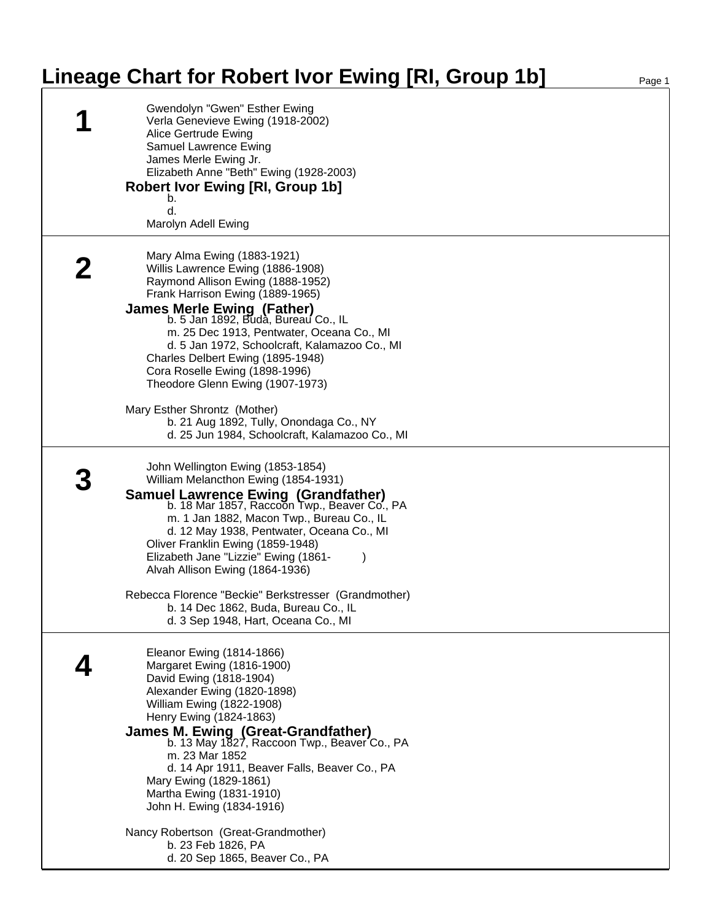## **Lineage Chart for Robert Ivor Ewing [RI, Group 1b]**

| Gwendolyn "Gwen" Esther Ewing<br>Verla Genevieve Ewing (1918-2002)<br>Alice Gertrude Ewing<br>Samuel Lawrence Ewing<br>James Merle Ewing Jr.<br>Elizabeth Anne "Beth" Ewing (1928-2003)<br>Robert Ivor Ewing [RI, Group 1b]<br>b.<br>d.<br>Marolyn Adell Ewing                                                                                                                                                                                                                                                                                              |
|-------------------------------------------------------------------------------------------------------------------------------------------------------------------------------------------------------------------------------------------------------------------------------------------------------------------------------------------------------------------------------------------------------------------------------------------------------------------------------------------------------------------------------------------------------------|
| Mary Alma Ewing (1883-1921)<br>Willis Lawrence Ewing (1886-1908)<br>Raymond Allison Ewing (1888-1952)<br>Frank Harrison Ewing (1889-1965)<br><b>James Merle Ewing (Father)</b><br>b. 5 Jan 1892, Budà, Bureau Co., IL<br>m. 25 Dec 1913, Pentwater, Oceana Co., MI<br>d. 5 Jan 1972, Schoolcraft, Kalamazoo Co., MI<br>Charles Delbert Ewing (1895-1948)<br>Cora Roselle Ewing (1898-1996)<br>Theodore Glenn Ewing (1907-1973)<br>Mary Esther Shrontz (Mother)<br>b. 21 Aug 1892, Tully, Onondaga Co., NY<br>d. 25 Jun 1984, Schoolcraft, Kalamazoo Co., MI |
| John Wellington Ewing (1853-1854)<br>William Melancthon Ewing (1854-1931)<br><b>Samuel Lawrence Ewing (Grandfather)</b><br>b. 18 Mar 1857, Raccoon Twp., Beaver Co., PA<br>m. 1 Jan 1882, Macon Twp., Bureau Co., IL<br>d. 12 May 1938, Pentwater, Oceana Co., MI<br>Oliver Franklin Ewing (1859-1948)<br>Elizabeth Jane "Lizzie" Ewing (1861-<br>Alvah Allison Ewing (1864-1936)<br>Rebecca Florence "Beckie" Berkstresser (Grandmother)<br>b. 14 Dec 1862, Buda, Bureau Co., IL<br>d. 3 Sep 1948, Hart, Oceana Co., MI                                    |
| Eleanor Ewing (1814-1866)<br>Margaret Ewing (1816-1900)<br>David Ewing (1818-1904)<br>Alexander Ewing (1820-1898)<br>William Ewing (1822-1908)<br>Henry Ewing (1824-1863)<br>James M. Ewing (Great-Grandfather)<br>b. 13 May 1827, Raccoon Twp., Beaver Co., PA<br>m. 23 Mar 1852<br>d. 14 Apr 1911, Beaver Falls, Beaver Co., PA<br>Mary Ewing (1829-1861)<br>Martha Ewing (1831-1910)<br>John H. Ewing (1834-1916)<br>Nancy Robertson (Great-Grandmother)<br>b. 23 Feb 1826, PA<br>d. 20 Sep 1865, Beaver Co., PA                                         |